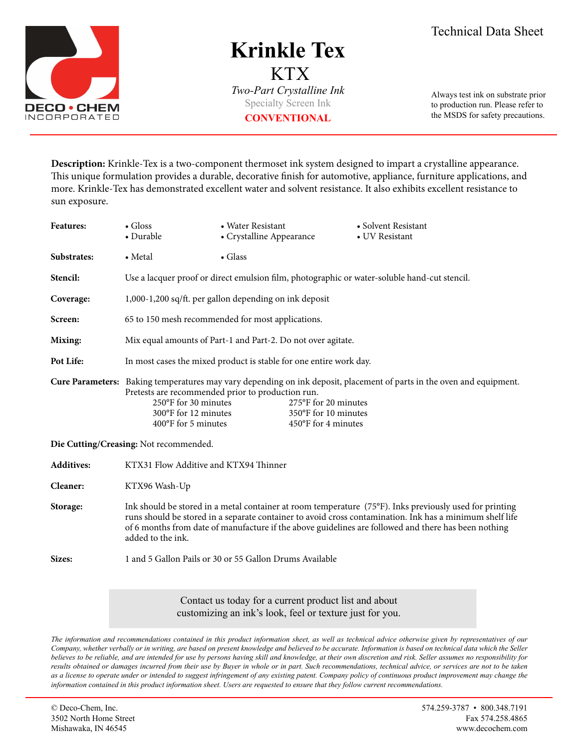

## **Krinkle Tex** KTX *Two-Part Crystalline Ink*

Specialty Screen Ink **CONVENTIONAL**

Always test ink on substrate prior to production run. Please refer to the MSDS for safety precautions.

**Description:** Krinkle-Tex is a two-component thermoset ink system designed to impart a crystalline appearance. This unique formulation provides a durable, decorative finish for automotive, appliance, furniture applications, and more. Krinkle-Tex has demonstrated excellent water and solvent resistance. It also exhibits excellent resistance to sun exposure.

| <b>Features:</b>                       | $\bullet$ Gloss<br>• Durable                                                                                                                                                                                                                                                                                                                     | • Water Resistant<br>• Crystalline Appearance |  | • Solvent Resistant<br>• UV Resistant |
|----------------------------------------|--------------------------------------------------------------------------------------------------------------------------------------------------------------------------------------------------------------------------------------------------------------------------------------------------------------------------------------------------|-----------------------------------------------|--|---------------------------------------|
| Substrates:                            | • Metal                                                                                                                                                                                                                                                                                                                                          | $\bullet$ Glass                               |  |                                       |
| Stencil:                               | Use a lacquer proof or direct emulsion film, photographic or water-soluble hand-cut stencil.                                                                                                                                                                                                                                                     |                                               |  |                                       |
| Coverage:                              | 1,000-1,200 sq/ft. per gallon depending on ink deposit                                                                                                                                                                                                                                                                                           |                                               |  |                                       |
| Screen:                                | 65 to 150 mesh recommended for most applications.                                                                                                                                                                                                                                                                                                |                                               |  |                                       |
| Mixing:                                | Mix equal amounts of Part-1 and Part-2. Do not over agitate.                                                                                                                                                                                                                                                                                     |                                               |  |                                       |
| Pot Life:                              | In most cases the mixed product is stable for one entire work day.                                                                                                                                                                                                                                                                               |                                               |  |                                       |
|                                        | Cure Parameters: Baking temperatures may vary depending on ink deposit, placement of parts in the oven and equipment.<br>Pretests are recommended prior to production run.<br>250°F for 30 minutes<br>275°F for 20 minutes<br>300°F for 12 minutes<br>350°F for 10 minutes<br>450°F for 4 minutes<br>400°F for 5 minutes                         |                                               |  |                                       |
| Die Cutting/Creasing: Not recommended. |                                                                                                                                                                                                                                                                                                                                                  |                                               |  |                                       |
| <b>Additives:</b>                      | KTX31 Flow Additive and KTX94 Thinner                                                                                                                                                                                                                                                                                                            |                                               |  |                                       |
| Cleaner:                               | KTX96 Wash-Up                                                                                                                                                                                                                                                                                                                                    |                                               |  |                                       |
| Storage:                               | Ink should be stored in a metal container at room temperature (75°F). Inks previously used for printing<br>runs should be stored in a separate container to avoid cross contamination. Ink has a minimum shelf life<br>of 6 months from date of manufacture if the above guidelines are followed and there has been nothing<br>added to the ink. |                                               |  |                                       |
| Sizes:                                 | 1 and 5 Gallon Pails or 30 or 55 Gallon Drums Available                                                                                                                                                                                                                                                                                          |                                               |  |                                       |

Contact us today for a current product list and about customizing an ink's look, feel or texture just for you.

*The information and recommendations contained in this product information sheet, as well as technical advice otherwise given by representatives of our Company, whether verbally or in writing, are based on present knowledge and believed to be accurate. Information is based on technical data which the Seller believes to be reliable, and are intended for use by persons having skill and knowledge, at their own discretion and risk. Seller assumes no responsibility for*  results obtained or damages incurred from their use by Buyer in whole or in part. Such recommendations, technical advice, or services are not to be taken *as a license to operate under or intended to suggest infringement of any existing patent. Company policy of continuous product improvement may change the information contained in this product information sheet. Users are requested to ensure that they follow current recommendations.*